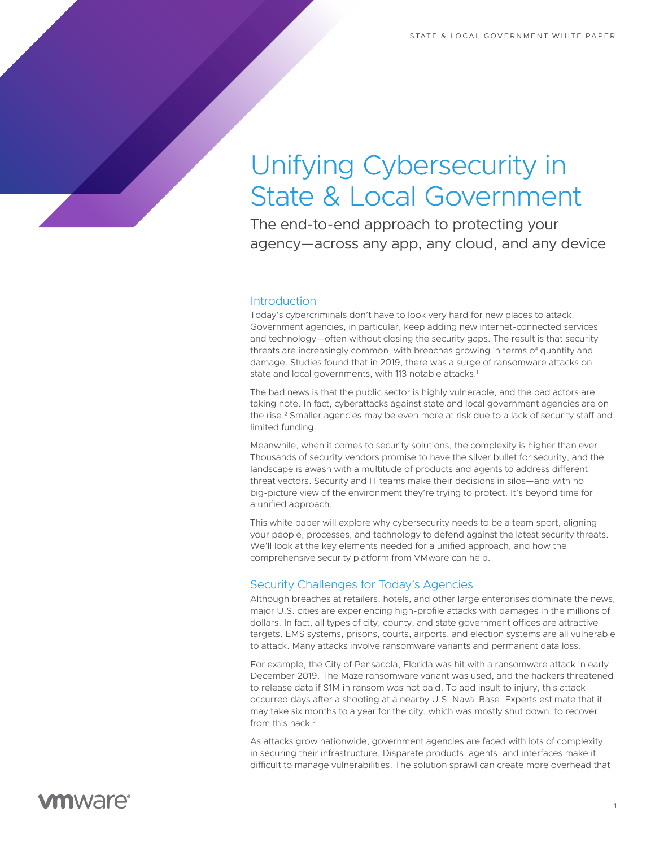# Unifying Cybersecurity in State & Local Government

The end-to-end approach to protecting your agency—across any app, any cloud, and any device

#### Introduction

Today's cybercriminals don't have to look very hard for new places to attack. Government agencies, in particular, keep adding new internet-connected services and technology—often without closing the security gaps. The result is that security threats are increasingly common, with breaches growing in terms of quantity and damage. Studies found that in 2019, there was a surge of ransomware attacks on state and local governments, with 113 notable attacks.<sup>1</sup>

The bad news is that the public sector is highly vulnerable, and the bad actors are taking note. In fact, cyberattacks against state and local government agencies are on the rise.<sup>2</sup> Smaller agencies may be even more at risk due to a lack of security staff and limited funding.

Meanwhile, when it comes to security solutions, the complexity is higher than ever. Thousands of security vendors promise to have the silver bullet for security, and the landscape is awash with a multitude of products and agents to address different threat vectors. Security and IT teams make their decisions in silos—and with no big-picture view of the environment they're trying to protect. It's beyond time for a unified approach.

This white paper will explore why cybersecurity needs to be a team sport, aligning your people, processes, and technology to defend against the latest security threats. We'll look at the key elements needed for a unified approach, and how the comprehensive security platform from VMware can help.

#### Security Challenges for Today's Agencies

Although breaches at retailers, hotels, and other large enterprises dominate the news, major U.S. cities are experiencing high-profile attacks with damages in the millions of dollars. In fact, all types of city, county, and state government offices are attractive targets. EMS systems, prisons, courts, airports, and election systems are all vulnerable to attack. Many attacks involve ransomware variants and permanent data loss.

For example, the City of Pensacola, Florida was hit with a ransomware attack in early December 2019. The Maze ransomware variant was used, and the hackers threatened to release data if \$1M in ransom was not paid. To add insult to injury, this attack occurred days after a shooting at a nearby U.S. Naval Base. Experts estimate that it may take six months to a year for the city, which was mostly shut down, to recover from this hack.<sup>3</sup>

As attacks grow nationwide, government agencies are faced with lots of complexity in securing their infrastructure. Disparate products, agents, and interfaces make it difficult to manage vulnerabilities. The solution sprawl can create more overhead that

## **vm**ware<sup>®</sup>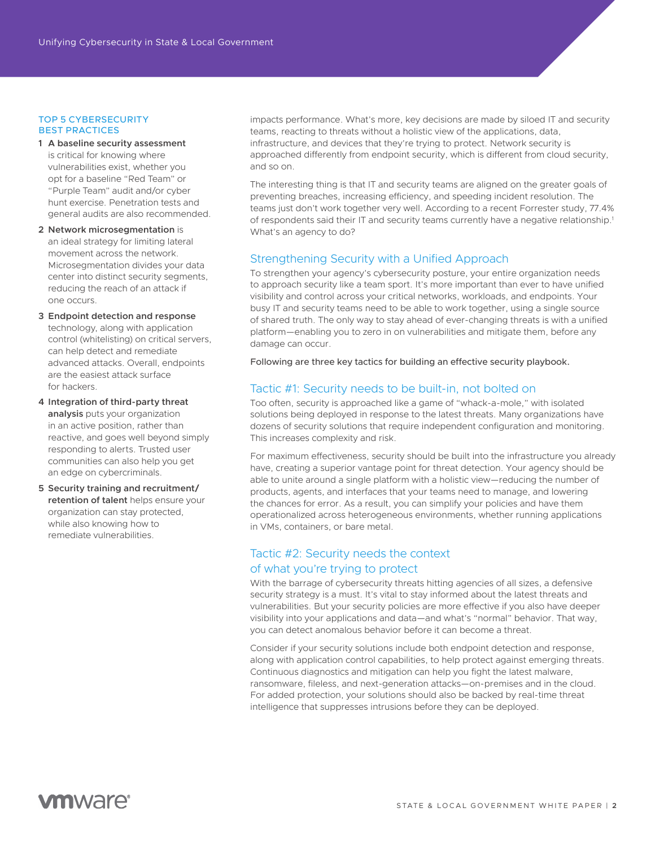#### TOP 5 CYBERSECURITY BEST PRACTICES

- **1 A baseline security assessment**  is critical for knowing where vulnerabilities exist, whether you opt for a baseline "Red Team" or "Purple Team" audit and/or cyber hunt exercise. Penetration tests and general audits are also recommended.
- **2 Network microsegmentation** is an ideal strategy for limiting lateral movement across the network. Microsegmentation divides your data center into distinct security segments, reducing the reach of an attack if one occurs.
- **3 Endpoint detection and response**  technology, along with application control (whitelisting) on critical servers, can help detect and remediate advanced attacks. Overall, endpoints are the easiest attack surface for hackers.
- **4 Integration of third-party threat analysis** puts your organization in an active position, rather than reactive, and goes well beyond simply responding to alerts. Trusted user communities can also help you get an edge on cybercriminals.
- **5 Security training and recruitment/ retention of talent** helps ensure your organization can stay protected, while also knowing how to remediate vulnerabilities.

impacts performance. What's more, key decisions are made by siloed IT and security teams, reacting to threats without a holistic view of the applications, data, infrastructure, and devices that they're trying to protect. Network security is approached differently from endpoint security, which is different from cloud security, and so on.

The interesting thing is that IT and security teams are aligned on the greater goals of preventing breaches, increasing efficiency, and speeding incident resolution. The teams just don't work together very well. According to a recent Forrester study, 77.4% of respondents said their IT and security teams currently have a negative relationship.1 What's an agency to do?

#### Strengthening Security with a Unified Approach

To strengthen your agency's cybersecurity posture, your entire organization needs to approach security like a team sport. It's more important than ever to have unified visibility and control across your critical networks, workloads, and endpoints. Your busy IT and security teams need to be able to work together, using a single source of shared truth. The only way to stay ahead of ever-changing threats is with a unified platform—enabling you to zero in on vulnerabilities and mitigate them, before any damage can occur.

Following are three key tactics for building an effective security playbook.

#### Tactic #1: Security needs to be built-in, not bolted on

Too often, security is approached like a game of "whack-a-mole," with isolated solutions being deployed in response to the latest threats. Many organizations have dozens of security solutions that require independent configuration and monitoring. This increases complexity and risk.

For maximum effectiveness, security should be built into the infrastructure you already have, creating a superior vantage point for threat detection. Your agency should be able to unite around a single platform with a holistic view—reducing the number of products, agents, and interfaces that your teams need to manage, and lowering the chances for error. As a result, you can simplify your policies and have them operationalized across heterogeneous environments, whether running applications in VMs, containers, or bare metal.

### Tactic #2: Security needs the context of what you're trying to protect

With the barrage of cybersecurity threats hitting agencies of all sizes, a defensive security strategy is a must. It's vital to stay informed about the latest threats and vulnerabilities. But your security policies are more effective if you also have deeper visibility into your applications and data—and what's "normal" behavior. That way, you can detect anomalous behavior before it can become a threat.

Consider if your security solutions include both endpoint detection and response, along with application control capabilities, to help protect against emerging threats. Continuous diagnostics and mitigation can help you fight the latest malware, ransomware, fileless, and next-generation attacks—on-premises and in the cloud. For added protection, your solutions should also be backed by real-time threat intelligence that suppresses intrusions before they can be deployed.